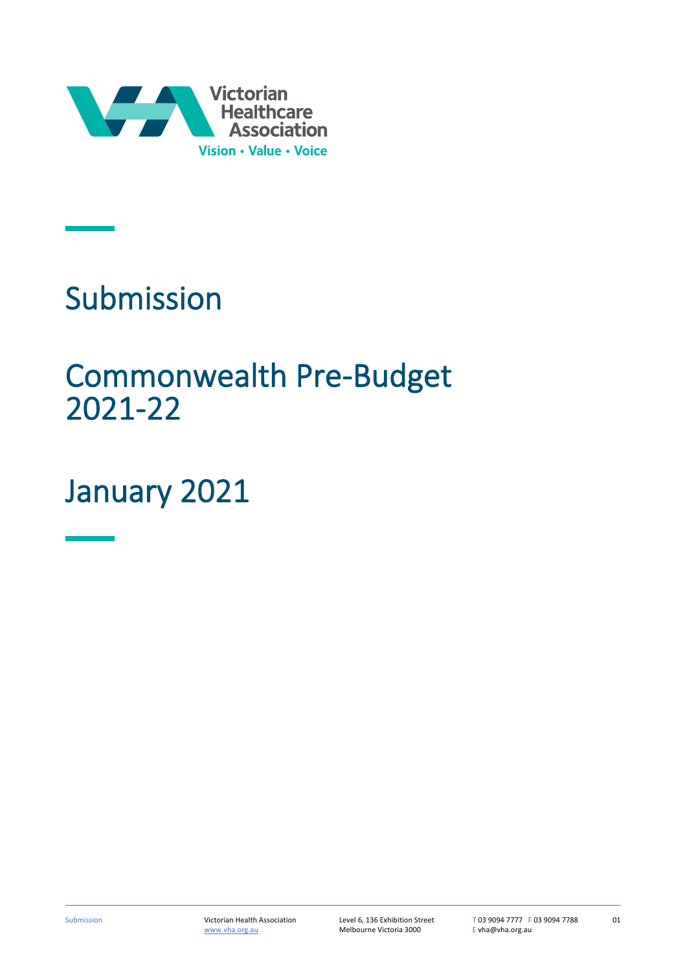

# Submission

## Commonwealth Pre-Budget 2021-22

## January 2021

01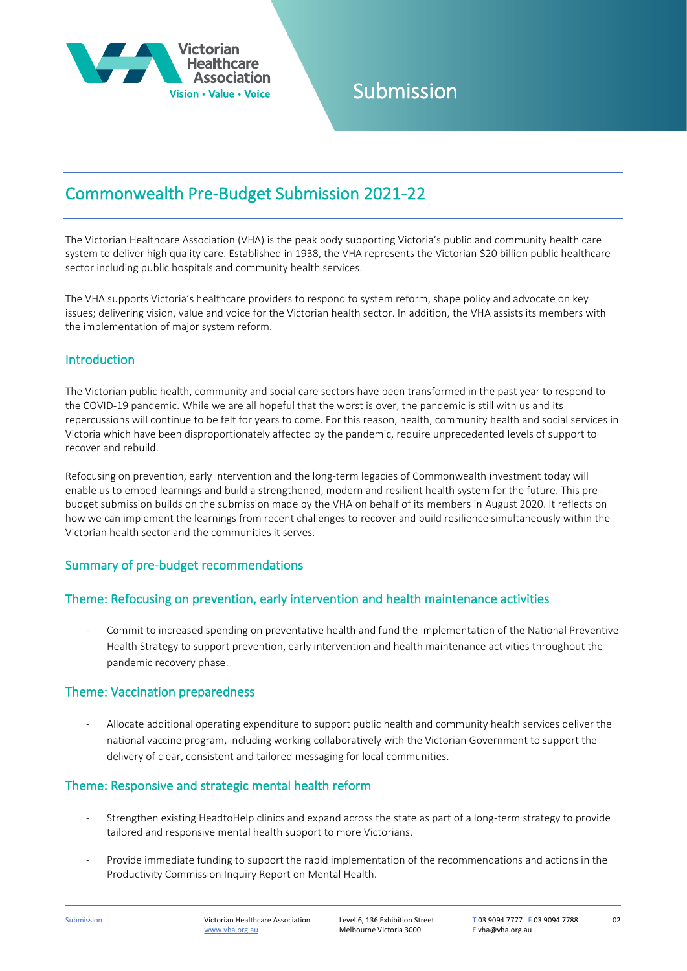

### Submission

### Commonwealth Pre-Budget Submission 2021-22

The Victorian Healthcare Association (VHA) is the peak body supporting Victoria's public and community health care system to deliver high quality care. Established in 1938, the VHA represents the Victorian \$20 billion public healthcare sector including public hospitals and community health services.

The VHA supports Victoria's healthcare providers to respond to system reform, shape policy and advocate on key issues; delivering vision, value and voice for the Victorian health sector. In addition, the VHA assists its members with the implementation of major system reform.

#### Introduction

The Victorian public health, community and social care sectors have been transformed in the past year to respond to the COVID-19 pandemic. While we are all hopeful that the worst is over, the pandemic is still with us and its repercussions will continue to be felt for years to come. For this reason, health, community health and social services in Victoria which have been disproportionately affected by the pandemic, require unprecedented levels of support to recover and rebuild.

Refocusing on prevention, early intervention and the long-term legacies of Commonwealth investment today will enable us to embed learnings and build a strengthened, modern and resilient health system for the future. This prebudget submission builds on the submission made by the VHA on behalf of its members in August 2020. It reflects on how we can implement the learnings from recent challenges to recover and build resilience simultaneously within the Victorian health sector and the communities it serves.

#### Summary of pre-budget recommendations

#### Theme: Refocusing on prevention, early intervention and health maintenance activities

- Commit to increased spending on preventative health and fund the implementation of the National Preventive Health Strategy to support prevention, early intervention and health maintenance activities throughout the pandemic recovery phase.

#### Theme: Vaccination preparedness

- Allocate additional operating expenditure to support public health and community health services deliver the national vaccine program, including working collaboratively with the Victorian Government to support the delivery of clear, consistent and tailored messaging for local communities.

#### Theme: Responsive and strategic mental health reform

- Strengthen existing HeadtoHelp clinics and expand across the state as part of a long-term strategy to provide tailored and responsive mental health support to more Victorians.
- Provide immediate funding to support the rapid implementation of the recommendations and actions in the Productivity Commission Inquiry Report on Mental Health.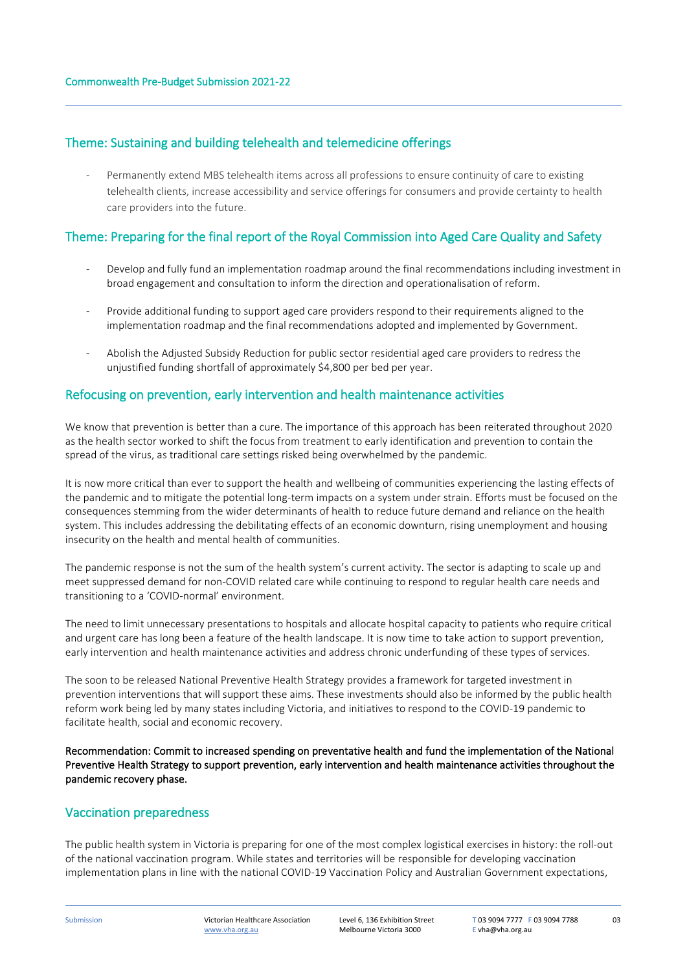#### Theme: Sustaining and building telehealth and telemedicine offerings

Permanently extend MBS telehealth items across all professions to ensure continuity of care to existing telehealth clients, increase accessibility and service offerings for consumers and provide certainty to health care providers into the future.

#### Theme: Preparing for the final report of the Royal Commission into Aged Care Quality and Safety

- Develop and fully fund an implementation roadmap around the final recommendations including investment in broad engagement and consultation to inform the direction and operationalisation of reform.
- Provide additional funding to support aged care providers respond to their requirements aligned to the implementation roadmap and the final recommendations adopted and implemented by Government.
- Abolish the Adjusted Subsidy Reduction for public sector residential aged care providers to redress the unjustified funding shortfall of approximately \$4,800 per bed per year.

#### Refocusing on prevention, early intervention and health maintenance activities

We know that prevention is better than a cure. The importance of this approach has been reiterated throughout 2020 as the health sector worked to shift the focus from treatment to early identification and prevention to contain the spread of the virus, as traditional care settings risked being overwhelmed by the pandemic.

It is now more critical than ever to support the health and wellbeing of communities experiencing the lasting effects of the pandemic and to mitigate the potential long-term impacts on a system under strain. Efforts must be focused on the consequences stemming from the wider determinants of health to reduce future demand and reliance on the health system. This includes addressing the debilitating effects of an economic downturn, rising unemployment and housing insecurity on the health and mental health of communities.

The pandemic response is not the sum of the health system's current activity. The sector is adapting to scale up and meet suppressed demand for non-COVID related care while continuing to respond to regular health care needs and transitioning to a 'COVID-normal' environment.

The need to limit unnecessary presentations to hospitals and allocate hospital capacity to patients who require critical and urgent care has long been a feature of the health landscape. It is now time to take action to support prevention, early intervention and health maintenance activities and address chronic underfunding of these types of services.

The soon to be released National Preventive Health Strategy provides a framework for targeted investment in prevention interventions that will support these aims. These investments should also be informed by the public health reform work being led by many states including Victoria, and initiatives to respond to the COVID-19 pandemic to facilitate health, social and economic recovery.

Recommendation: Commit to increased spending on preventative health and fund the implementation of the National Preventive Health Strategy to support prevention, early intervention and health maintenance activities throughout the pandemic recovery phase.

#### Vaccination preparedness

The public health system in Victoria is preparing for one of the most complex logistical exercises in history: the roll-out of the national vaccination program. While states and territories will be responsible for developing vaccination implementation plans in line with the national COVID-19 Vaccination Policy and Australian Government expectations,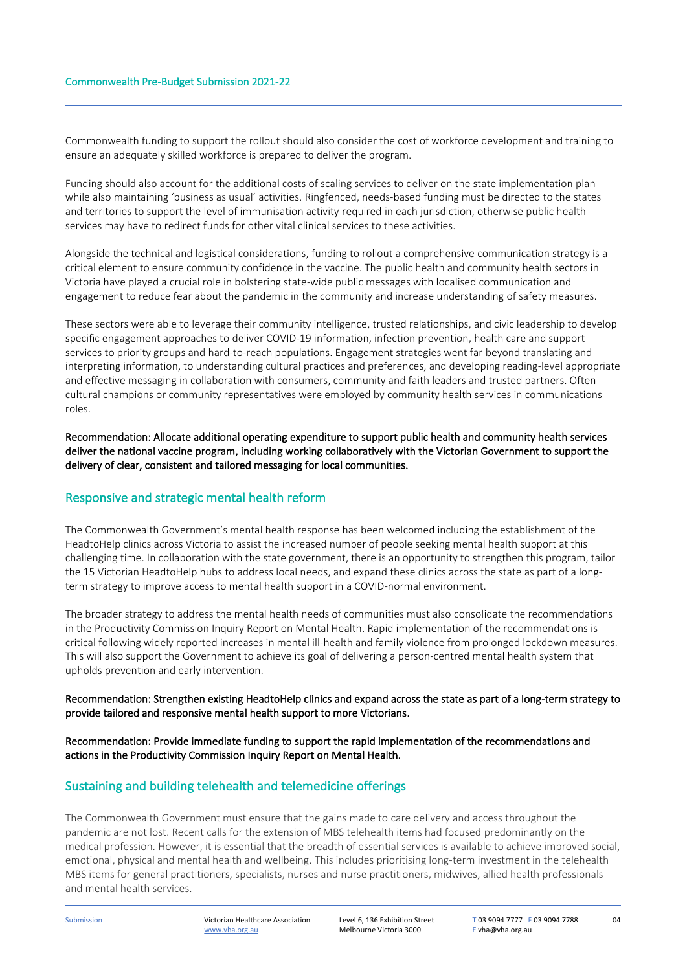Commonwealth funding to support the rollout should also consider the cost of workforce development and training to ensure an adequately skilled workforce is prepared to deliver the program.

Funding should also account for the additional costs of scaling services to deliver on the state implementation plan while also maintaining 'business as usual' activities. Ringfenced, needs-based funding must be directed to the states and territories to support the level of immunisation activity required in each jurisdiction, otherwise public health services may have to redirect funds for other vital clinical services to these activities.

Alongside the technical and logistical considerations, funding to rollout a comprehensive communication strategy is a critical element to ensure community confidence in the vaccine. The public health and community health sectors in Victoria have played a crucial role in bolstering state-wide public messages with localised communication and engagement to reduce fear about the pandemic in the community and increase understanding of safety measures.

These sectors were able to leverage their community intelligence, trusted relationships, and civic leadership to develop specific engagement approaches to deliver COVID-19 information, infection prevention, health care and support services to priority groups and hard-to-reach populations. Engagement strategies went far beyond translating and interpreting information, to understanding cultural practices and preferences, and developing reading-level appropriate and effective messaging in collaboration with consumers, community and faith leaders and trusted partners. Often cultural champions or community representatives were employed by community health services in communications roles.

Recommendation: Allocate additional operating expenditure to support public health and community health services deliver the national vaccine program, including working collaboratively with the Victorian Government to support the delivery of clear, consistent and tailored messaging for local communities.

#### Responsive and strategic mental health reform

The Commonwealth Government's mental health response has been welcomed including the establishment of the HeadtoHelp clinics across Victoria to assist the increased number of people seeking mental health support at this challenging time. In collaboration with the state government, there is an opportunity to strengthen this program, tailor the 15 Victorian HeadtoHelp hubs to address local needs, and expand these clinics across the state as part of a longterm strategy to improve access to mental health support in a COVID-normal environment.

The broader strategy to address the mental health needs of communities must also consolidate the recommendations in the Productivity Commission Inquiry Report on Mental Health. Rapid implementation of the recommendations is critical following widely reported increases in mental ill-health and family violence from prolonged lockdown measures. This will also support the Government to achieve its goal of delivering a person-centred mental health system that upholds prevention and early intervention.

#### Recommendation: Strengthen existing HeadtoHelp clinics and expand across the state as part of a long-term strategy to provide tailored and responsive mental health support to more Victorians.

Recommendation: Provide immediate funding to support the rapid implementation of the recommendations and actions in the Productivity Commission Inquiry Report on Mental Health.

#### Sustaining and building telehealth and telemedicine offerings

The Commonwealth Government must ensure that the gains made to care delivery and access throughout the pandemic are not lost. Recent calls for the extension of MBS telehealth items had focused predominantly on the medical profession. However, it is essential that the breadth of essential services is available to achieve improved social, emotional, physical and mental health and wellbeing. This includes prioritising long-term investment in the telehealth MBS items for general practitioners, specialists, nurses and nurse practitioners, midwives, allied health professionals and mental health services.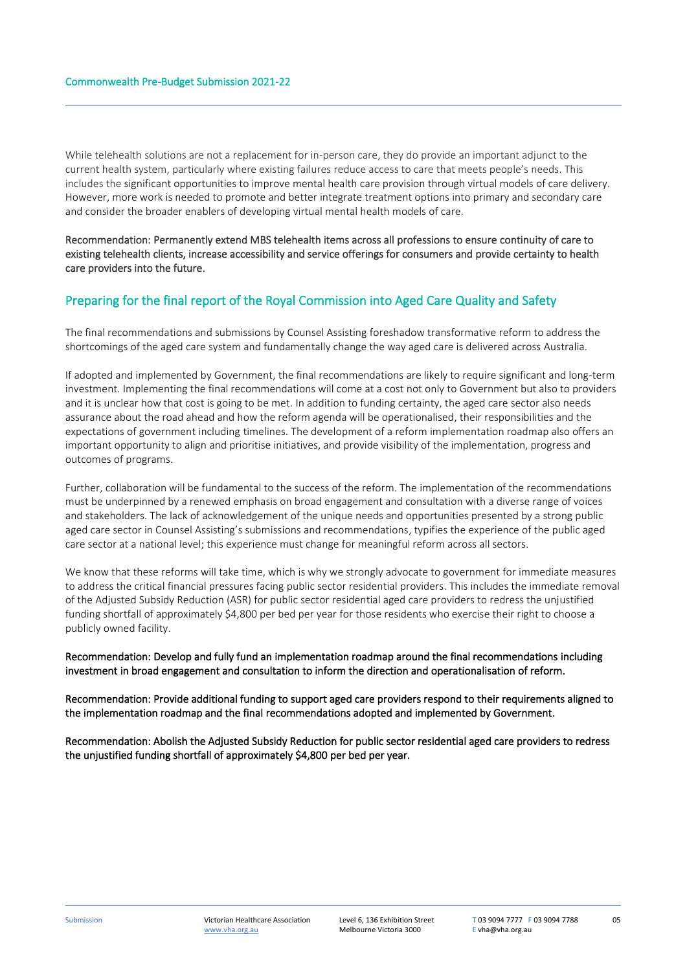While telehealth solutions are not a replacement for in-person care, they do provide an important adjunct to the current health system, particularly where existing failures reduce access to care that meets people's needs. This includes the significant opportunities to improve mental health care provision through virtual models of care delivery. However, more work is needed to promote and better integrate treatment options into primary and secondary care and consider the broader enablers of developing virtual mental health models of care.

Recommendation: Permanently extend MBS telehealth items across all professions to ensure continuity of care to existing telehealth clients, increase accessibility and service offerings for consumers and provide certainty to health care providers into the future.

#### Preparing for the final report of the Royal Commission into Aged Care Quality and Safety

The final recommendations and submissions by Counsel Assisting foreshadow transformative reform to address the shortcomings of the aged care system and fundamentally change the way aged care is delivered across Australia.

If adopted and implemented by Government, the final recommendations are likely to require significant and long-term investment. Implementing the final recommendations will come at a cost not only to Government but also to providers and it is unclear how that cost is going to be met. In addition to funding certainty, the aged care sector also needs assurance about the road ahead and how the reform agenda will be operationalised, their responsibilities and the expectations of government including timelines. The development of a reform implementation roadmap also offers an important opportunity to align and prioritise initiatives, and provide visibility of the implementation, progress and outcomes of programs.

Further, collaboration will be fundamental to the success of the reform. The implementation of the recommendations must be underpinned by a renewed emphasis on broad engagement and consultation with a diverse range of voices and stakeholders. The lack of acknowledgement of the unique needs and opportunities presented by a strong public aged care sector in Counsel Assisting's submissions and recommendations, typifies the experience of the public aged care sector at a national level; this experience must change for meaningful reform across all sectors.

We know that these reforms will take time, which is why we strongly advocate to government for immediate measures to address the critical financial pressures facing public sector residential providers. This includes the immediate removal of the Adjusted Subsidy Reduction (ASR) for public sector residential aged care providers to redress the unjustified funding shortfall of approximately \$4,800 per bed per year for those residents who exercise their right to choose a publicly owned facility.

#### Recommendation: Develop and fully fund an implementation roadmap around the final recommendations including investment in broad engagement and consultation to inform the direction and operationalisation of reform.

Recommendation: Provide additional funding to support aged care providers respond to their requirements aligned to the implementation roadmap and the final recommendations adopted and implemented by Government.

Recommendation: Abolish the Adjusted Subsidy Reduction for public sector residential aged care providers to redress the unjustified funding shortfall of approximately \$4,800 per bed per year.